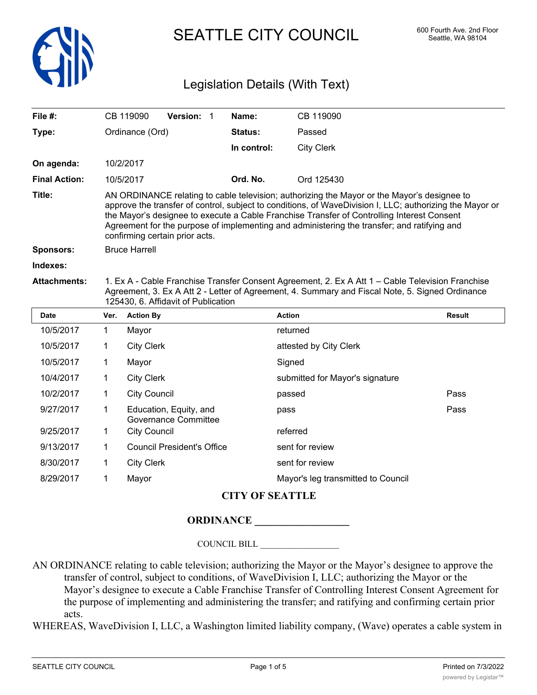

SEATTLE CITY COUNCIL 600 Fourth Ave. 2nd Floor

# Legislation Details (With Text)

| File $#$ :           |                                                                                                                                                                                                                                                                                                                                                                                                                                        | CB 119090           | Version: 1                                            |  | Name:       | CB 119090                       |               |
|----------------------|----------------------------------------------------------------------------------------------------------------------------------------------------------------------------------------------------------------------------------------------------------------------------------------------------------------------------------------------------------------------------------------------------------------------------------------|---------------------|-------------------------------------------------------|--|-------------|---------------------------------|---------------|
| Type:                |                                                                                                                                                                                                                                                                                                                                                                                                                                        | Ordinance (Ord)     |                                                       |  | Status:     | Passed                          |               |
|                      |                                                                                                                                                                                                                                                                                                                                                                                                                                        |                     |                                                       |  | In control: | <b>City Clerk</b>               |               |
| On agenda:           |                                                                                                                                                                                                                                                                                                                                                                                                                                        | 10/2/2017           |                                                       |  |             |                                 |               |
| <b>Final Action:</b> |                                                                                                                                                                                                                                                                                                                                                                                                                                        | 10/5/2017           |                                                       |  | Ord. No.    | Ord 125430                      |               |
| Title:               | AN ORDINANCE relating to cable television; authorizing the Mayor or the Mayor's designee to<br>approve the transfer of control, subject to conditions, of WaveDivision I, LLC; authorizing the Mayor or<br>the Mayor's designee to execute a Cable Franchise Transfer of Controlling Interest Consent<br>Agreement for the purpose of implementing and administering the transfer; and ratifying and<br>confirming certain prior acts. |                     |                                                       |  |             |                                 |               |
| Sponsors:            | <b>Bruce Harrell</b>                                                                                                                                                                                                                                                                                                                                                                                                                   |                     |                                                       |  |             |                                 |               |
| Indexes:             |                                                                                                                                                                                                                                                                                                                                                                                                                                        |                     |                                                       |  |             |                                 |               |
| <b>Attachments:</b>  | 1. Ex A - Cable Franchise Transfer Consent Agreement, 2. Ex A Att 1 - Cable Television Franchise<br>Agreement, 3. Ex A Att 2 - Letter of Agreement, 4. Summary and Fiscal Note, 5. Signed Ordinance<br>125430, 6. Affidavit of Publication                                                                                                                                                                                             |                     |                                                       |  |             |                                 |               |
| Date                 | Ver.                                                                                                                                                                                                                                                                                                                                                                                                                                   | <b>Action By</b>    |                                                       |  |             | <b>Action</b>                   |               |
|                      |                                                                                                                                                                                                                                                                                                                                                                                                                                        |                     |                                                       |  |             |                                 | <b>Result</b> |
| 10/5/2017            | 1                                                                                                                                                                                                                                                                                                                                                                                                                                      | Mayor               |                                                       |  |             | returned                        |               |
| 10/5/2017            | 1                                                                                                                                                                                                                                                                                                                                                                                                                                      | <b>City Clerk</b>   |                                                       |  |             | attested by City Clerk          |               |
| 10/5/2017            | 1                                                                                                                                                                                                                                                                                                                                                                                                                                      | Mayor               |                                                       |  |             | Signed                          |               |
| 10/4/2017            | 1                                                                                                                                                                                                                                                                                                                                                                                                                                      | <b>City Clerk</b>   |                                                       |  |             | submitted for Mayor's signature |               |
| 10/2/2017            | $\mathbf 1$                                                                                                                                                                                                                                                                                                                                                                                                                            | <b>City Council</b> |                                                       |  |             | passed                          | Pass          |
| 9/27/2017            | 1                                                                                                                                                                                                                                                                                                                                                                                                                                      |                     | Education, Equity, and<br><b>Governance Committee</b> |  |             | pass                            | Pass          |
| 9/25/2017            | $\mathbf 1$                                                                                                                                                                                                                                                                                                                                                                                                                            | <b>City Council</b> |                                                       |  |             | referred                        |               |
| 9/13/2017            | $\mathbf 1$                                                                                                                                                                                                                                                                                                                                                                                                                            |                     | <b>Council President's Office</b>                     |  |             | sent for review                 |               |
| 8/30/2017            | $\mathbf 1$                                                                                                                                                                                                                                                                                                                                                                                                                            | <b>City Clerk</b>   |                                                       |  |             | sent for review                 |               |

### **CITY OF SEATTLE**

## **ORDINANCE \_\_\_\_\_\_\_\_\_\_\_\_\_\_\_\_\_\_**

COUNCIL BILL \_\_\_\_\_\_\_\_\_\_\_\_\_\_\_\_\_\_

AN ORDINANCE relating to cable television; authorizing the Mayor or the Mayor's designee to approve the transfer of control, subject to conditions, of WaveDivision I, LLC; authorizing the Mayor or the Mayor's designee to execute a Cable Franchise Transfer of Controlling Interest Consent Agreement for the purpose of implementing and administering the transfer; and ratifying and confirming certain prior acts.

WHEREAS, WaveDivision I, LLC, a Washington limited liability company, (Wave) operates a cable system in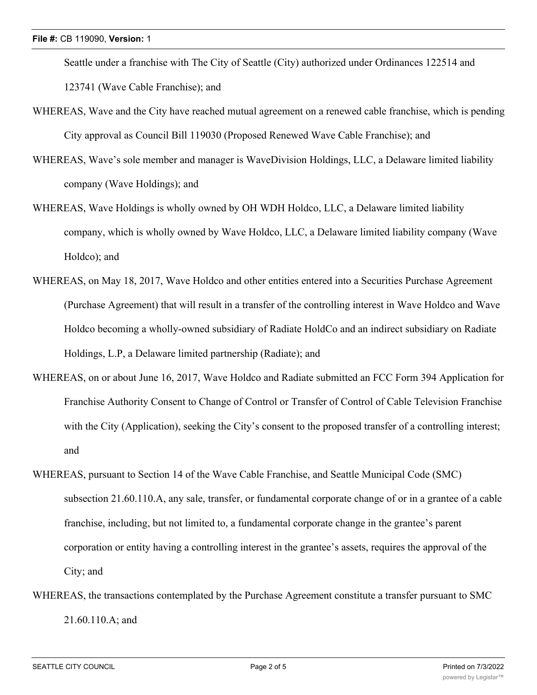Seattle under a franchise with The City of Seattle (City) authorized under Ordinances 122514 and 123741 (Wave Cable Franchise); and

- WHEREAS, Wave and the City have reached mutual agreement on a renewed cable franchise, which is pending City approval as Council Bill 119030 (Proposed Renewed Wave Cable Franchise); and
- WHEREAS, Wave's sole member and manager is WaveDivision Holdings, LLC, a Delaware limited liability company (Wave Holdings); and
- WHEREAS, Wave Holdings is wholly owned by OH WDH Holdco, LLC, a Delaware limited liability company, which is wholly owned by Wave Holdco, LLC, a Delaware limited liability company (Wave Holdco); and
- WHEREAS, on May 18, 2017, Wave Holdco and other entities entered into a Securities Purchase Agreement (Purchase Agreement) that will result in a transfer of the controlling interest in Wave Holdco and Wave Holdco becoming a wholly-owned subsidiary of Radiate HoldCo and an indirect subsidiary on Radiate Holdings, L.P, a Delaware limited partnership (Radiate); and
- WHEREAS, on or about June 16, 2017, Wave Holdco and Radiate submitted an FCC Form 394 Application for Franchise Authority Consent to Change of Control or Transfer of Control of Cable Television Franchise with the City (Application), seeking the City's consent to the proposed transfer of a controlling interest; and
- WHEREAS, pursuant to Section 14 of the Wave Cable Franchise, and Seattle Municipal Code (SMC) subsection 21.60.110.A, any sale, transfer, or fundamental corporate change of or in a grantee of a cable franchise, including, but not limited to, a fundamental corporate change in the grantee's parent corporation or entity having a controlling interest in the grantee's assets, requires the approval of the City; and
- WHEREAS, the transactions contemplated by the Purchase Agreement constitute a transfer pursuant to SMC 21.60.110.A; and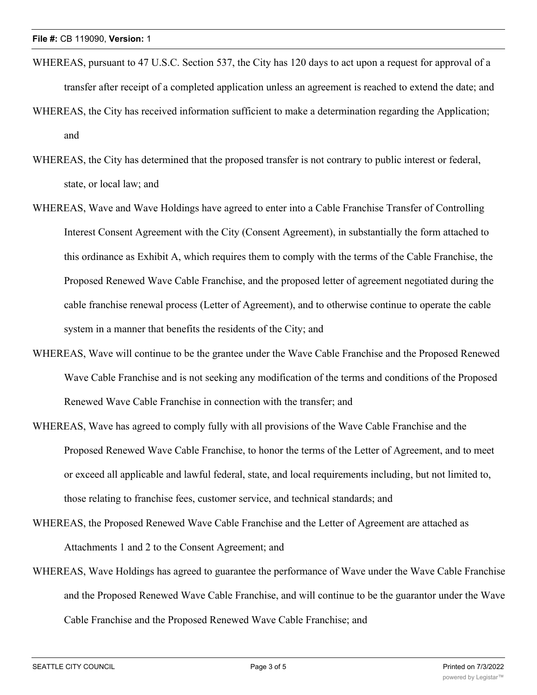WHEREAS, pursuant to 47 U.S.C. Section 537, the City has 120 days to act upon a request for approval of a transfer after receipt of a completed application unless an agreement is reached to extend the date; and WHEREAS, the City has received information sufficient to make a determination regarding the Application;

and

- WHEREAS, the City has determined that the proposed transfer is not contrary to public interest or federal, state, or local law; and
- WHEREAS, Wave and Wave Holdings have agreed to enter into a Cable Franchise Transfer of Controlling Interest Consent Agreement with the City (Consent Agreement), in substantially the form attached to this ordinance as Exhibit A, which requires them to comply with the terms of the Cable Franchise, the Proposed Renewed Wave Cable Franchise, and the proposed letter of agreement negotiated during the cable franchise renewal process (Letter of Agreement), and to otherwise continue to operate the cable system in a manner that benefits the residents of the City; and
- WHEREAS, Wave will continue to be the grantee under the Wave Cable Franchise and the Proposed Renewed Wave Cable Franchise and is not seeking any modification of the terms and conditions of the Proposed Renewed Wave Cable Franchise in connection with the transfer; and
- WHEREAS, Wave has agreed to comply fully with all provisions of the Wave Cable Franchise and the Proposed Renewed Wave Cable Franchise, to honor the terms of the Letter of Agreement, and to meet or exceed all applicable and lawful federal, state, and local requirements including, but not limited to, those relating to franchise fees, customer service, and technical standards; and
- WHEREAS, the Proposed Renewed Wave Cable Franchise and the Letter of Agreement are attached as Attachments 1 and 2 to the Consent Agreement; and
- WHEREAS, Wave Holdings has agreed to guarantee the performance of Wave under the Wave Cable Franchise and the Proposed Renewed Wave Cable Franchise, and will continue to be the guarantor under the Wave Cable Franchise and the Proposed Renewed Wave Cable Franchise; and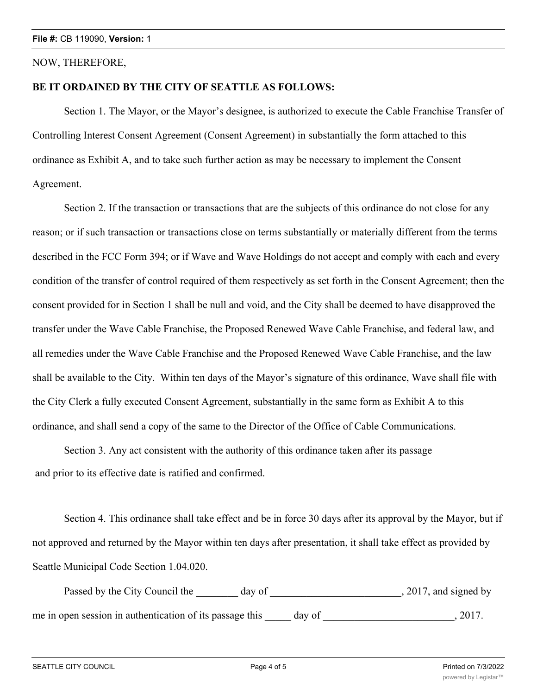#### NOW, THEREFORE,

### **BE IT ORDAINED BY THE CITY OF SEATTLE AS FOLLOWS:**

Section 1. The Mayor, or the Mayor's designee, is authorized to execute the Cable Franchise Transfer of Controlling Interest Consent Agreement (Consent Agreement) in substantially the form attached to this ordinance as Exhibit A, and to take such further action as may be necessary to implement the Consent Agreement.

Section 2. If the transaction or transactions that are the subjects of this ordinance do not close for any reason; or if such transaction or transactions close on terms substantially or materially different from the terms described in the FCC Form 394; or if Wave and Wave Holdings do not accept and comply with each and every condition of the transfer of control required of them respectively as set forth in the Consent Agreement; then the consent provided for in Section 1 shall be null and void, and the City shall be deemed to have disapproved the transfer under the Wave Cable Franchise, the Proposed Renewed Wave Cable Franchise, and federal law, and all remedies under the Wave Cable Franchise and the Proposed Renewed Wave Cable Franchise, and the law shall be available to the City. Within ten days of the Mayor's signature of this ordinance, Wave shall file with the City Clerk a fully executed Consent Agreement, substantially in the same form as Exhibit A to this ordinance, and shall send a copy of the same to the Director of the Office of Cable Communications.

Section 3. Any act consistent with the authority of this ordinance taken after its passage and prior to its effective date is ratified and confirmed.

Section 4. This ordinance shall take effect and be in force 30 days after its approval by the Mayor, but if not approved and returned by the Mayor within ten days after presentation, it shall take effect as provided by Seattle Municipal Code Section 1.04.020.

Passed by the City Council the day of 2017, and signed by me in open session in authentication of its passage this day of  $\qquad \qquad$ , 2017.